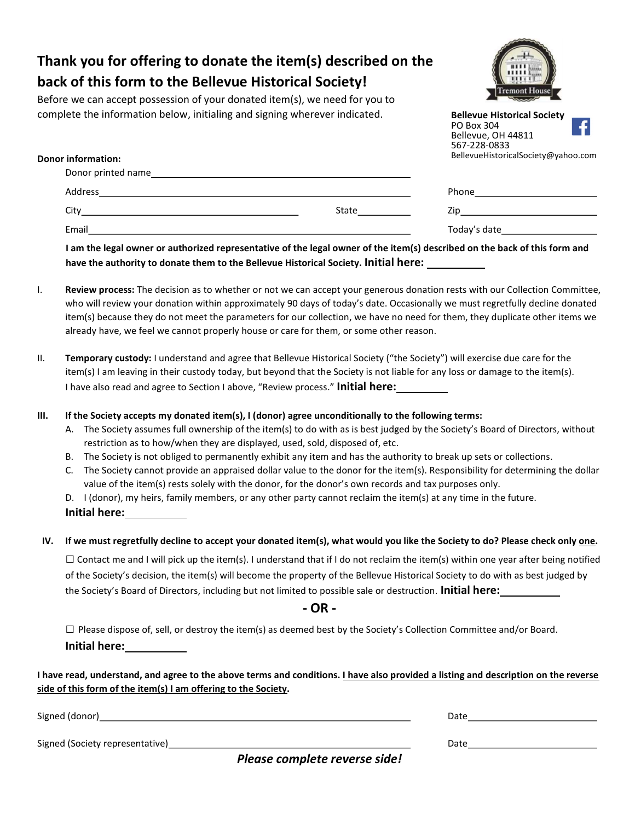## Thank you for offering to donate the item(s) described on the back of this form to the Bellevue Historical Society!

Before we can accept possession of your donated item(s), we need for you to complete the information below, initialing and signing wherever indicated.



Bellevue, OH 44811

| <b>Donor information:</b> | 567-228-0833<br>BellevueHistoricalSociety@yahoo.com |                                                                                                                                                                                                                                |  |
|---------------------------|-----------------------------------------------------|--------------------------------------------------------------------------------------------------------------------------------------------------------------------------------------------------------------------------------|--|
|                           |                                                     |                                                                                                                                                                                                                                |  |
| Address                   | <u> 1999 - Jan Salaman Salaman (j. 1989)</u>        |                                                                                                                                                                                                                                |  |
| Citv                      | State                                               | Zip and the contract of the contract of the contract of the contract of the contract of the contract of the contract of the contract of the contract of the contract of the contract of the contract of the contract of the co |  |
| Email                     |                                                     | Today's date that the control of the control of the control of the control of the control of the control of the control of the control of the control of the control of the control of the control of the control of the contr |  |

I am the legal owner or authorized representative of the legal owner of the item(s) described on the back of this form and have the authority to donate them to the Bellevue Historical Society. Initial here:

- I. Review process: The decision as to whether or not we can accept your generous donation rests with our Collection Committee, who will review your donation within approximately 90 days of today's date. Occasionally we must regretfully decline donated item(s) because they do not meet the parameters for our collection, we have no need for them, they duplicate other items we already have, we feel we cannot properly house or care for them, or some other reason.
- II. Temporary custody: I understand and agree that Bellevue Historical Society ("the Society") will exercise due care for the item(s) I am leaving in their custody today, but beyond that the Society is not liable for any loss or damage to the item(s). I have also read and agree to Section I above, "Review process." Initial here:

III. If the Society accepts my donated item(s), I (donor) agree unconditionally to the following terms:

- A. The Society assumes full ownership of the item(s) to do with as is best judged by the Society's Board of Directors, without restriction as to how/when they are displayed, used, sold, disposed of, etc.
- B. The Society is not obliged to permanently exhibit any item and has the authority to break up sets or collections.
- C. The Society cannot provide an appraised dollar value to the donor for the item(s). Responsibility for determining the dollar value of the item(s) rests solely with the donor, for the donor's own records and tax purposes only.

D. I (donor), my heirs, family members, or any other party cannot reclaim the item(s) at any time in the future.

Initial here:

## IV. If we must regretfully decline to accept your donated item(s), what would you like the Society to do? Please check only one.

 $\Box$  Contact me and I will pick up the item(s). I understand that if I do not reclaim the item(s) within one year after being notified of the Society's decision, the item(s) will become the property of the Bellevue Historical Society to do with as best judged by the Society's Board of Directors, including but not limited to possible sale or destruction. **Initial here:** 

- OR -

 $\Box$  Please dispose of, sell, or destroy the item(s) as deemed best by the Society's Collection Committee and/or Board. Initial here:

I have read, understand, and agree to the above terms and conditions. I have also provided a listing and description on the reverse side of this form of the item(s) I am offering to the Society.

Signed (Society representative) and the state of the state of the state of the Date of the Date of the Date of the Date of the Date of the Date of the Date of the Date of the Date of the Date of the Date of the Date of the

Signed (donor) Date and the set of the set of the set of the set of the set of the set of the set of the set of the set of the set of the set of the set of the set of the set of the set of the set of the set of the set of

Please complete reverse side!